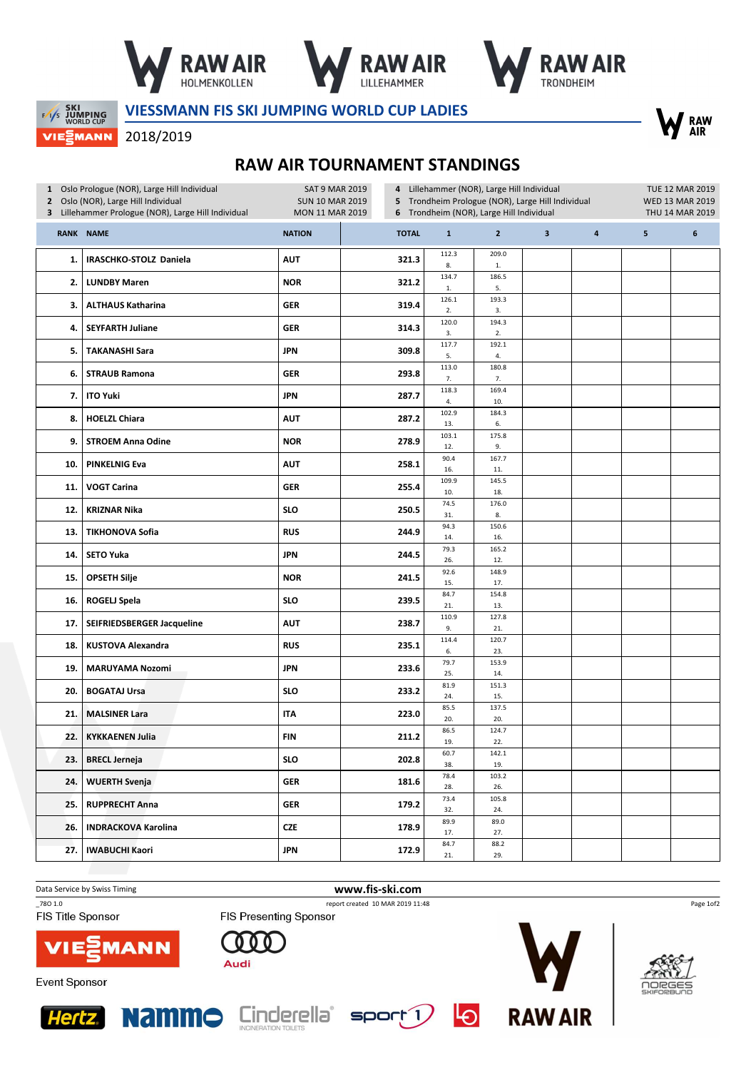





## **EXECUTE SKI**<br>EXP JUMPING<br>WORLD CUP **VIEWANN**

VIESSMANN FIS SKI JUMPING WORLD CUP LADIES



## 2018/2019

## RAW AIR TOURNAMENT STANDINGS

| 1 Oslo Prologue (NOR), Large Hill Individual<br>2 Oslo (NOR), Large Hill Individual<br>3 Lillehammer Prologue (NOR), Large Hill Individual |                            | Lillehammer (NOR), Large Hill Individual<br><b>SAT 9 MAR 2019</b><br>4<br>5 Trondheim Prologue (NOR), Large Hill Individual<br><b>SUN 10 MAR 2019</b><br>Trondheim (NOR), Large Hill Individual<br>MON 11 MAR 2019<br>6 |              |              |                       | TUE 12 MAR 2019<br><b>WED 13 MAR 2019</b><br>THU 14 MAR 2019 |           |   |   |
|--------------------------------------------------------------------------------------------------------------------------------------------|----------------------------|-------------------------------------------------------------------------------------------------------------------------------------------------------------------------------------------------------------------------|--------------|--------------|-----------------------|--------------------------------------------------------------|-----------|---|---|
|                                                                                                                                            | <b>RANK NAME</b>           | <b>NATION</b>                                                                                                                                                                                                           | <b>TOTAL</b> | $\mathbf{1}$ | $\overline{2}$        | $\mathbf{3}$                                                 | $\pmb{4}$ | 5 | 6 |
| 1.                                                                                                                                         | IRASCHKO-STOLZ Daniela     | <b>AUT</b>                                                                                                                                                                                                              | 321.3        | 112.3<br>8.  | 209.0<br>$\mathbf{1}$ |                                                              |           |   |   |
| 2.                                                                                                                                         | <b>LUNDBY Maren</b>        | <b>NOR</b>                                                                                                                                                                                                              | 321.2        | 134.7<br>1.  | 186.5<br>5.           |                                                              |           |   |   |
| 3.                                                                                                                                         | <b>ALTHAUS Katharina</b>   | <b>GER</b>                                                                                                                                                                                                              | 319.4        | 126.1<br>2.  | 193.3<br>3.           |                                                              |           |   |   |
| 4.                                                                                                                                         | <b>SEYFARTH Juliane</b>    | <b>GER</b>                                                                                                                                                                                                              | 314.3        | 120.0<br>3.  | 194.3<br>2.           |                                                              |           |   |   |
| 5.                                                                                                                                         | <b>TAKANASHI Sara</b>      | JPN                                                                                                                                                                                                                     | 309.8        | 117.7<br>5.  | 192.1<br>4.           |                                                              |           |   |   |
| 6.                                                                                                                                         | <b>STRAUB Ramona</b>       | <b>GER</b>                                                                                                                                                                                                              | 293.8        | 113.0<br>7.  | 180.8<br>7.           |                                                              |           |   |   |
| 7.                                                                                                                                         | <b>ITO Yuki</b>            | <b>JPN</b>                                                                                                                                                                                                              | 287.7        | 118.3<br>4.  | 169.4<br>10.          |                                                              |           |   |   |
| 8.                                                                                                                                         | <b>HOELZL Chiara</b>       | <b>AUT</b>                                                                                                                                                                                                              | 287.2        | 102.9<br>13. | 184.3<br>6.           |                                                              |           |   |   |
| 9.                                                                                                                                         | <b>STROEM Anna Odine</b>   | <b>NOR</b>                                                                                                                                                                                                              | 278.9        | 103.1<br>12. | 175.8<br>9.           |                                                              |           |   |   |
| 10.                                                                                                                                        | <b>PINKELNIG Eva</b>       | <b>AUT</b>                                                                                                                                                                                                              | 258.1        | 90.4<br>16.  | 167.7<br>11.          |                                                              |           |   |   |
| 11.                                                                                                                                        | <b>VOGT Carina</b>         | <b>GER</b>                                                                                                                                                                                                              | 255.4        | 109.9<br>10. | 145.5<br>18.          |                                                              |           |   |   |
| 12.                                                                                                                                        | <b>KRIZNAR Nika</b>        | <b>SLO</b>                                                                                                                                                                                                              | 250.5        | 74.5<br>31.  | 176.0<br>8.           |                                                              |           |   |   |
| 13.                                                                                                                                        | <b>TIKHONOVA Sofia</b>     | <b>RUS</b>                                                                                                                                                                                                              | 244.9        | 94.3<br>14.  | 150.6<br>16.          |                                                              |           |   |   |
| 14.                                                                                                                                        | <b>SETO Yuka</b>           | <b>JPN</b>                                                                                                                                                                                                              | 244.5        | 79.3<br>26.  | 165.2<br>12.          |                                                              |           |   |   |
| 15.                                                                                                                                        | <b>OPSETH Silje</b>        | <b>NOR</b>                                                                                                                                                                                                              | 241.5        | 92.6<br>15.  | 148.9<br>17.          |                                                              |           |   |   |
| 16.                                                                                                                                        | <b>ROGELJ Spela</b>        | <b>SLO</b>                                                                                                                                                                                                              | 239.5        | 84.7<br>21.  | 154.8<br>13.          |                                                              |           |   |   |
| 17.                                                                                                                                        | SEIFRIEDSBERGER Jacqueline | <b>AUT</b>                                                                                                                                                                                                              | 238.7        | 110.9<br>9.  | 127.8<br>21.          |                                                              |           |   |   |
| 18.                                                                                                                                        | <b>KUSTOVA Alexandra</b>   | <b>RUS</b>                                                                                                                                                                                                              | 235.1        | 114.4<br>6.  | 120.7<br>23.          |                                                              |           |   |   |
| 19.                                                                                                                                        | <b>MARUYAMA Nozomi</b>     | <b>JPN</b>                                                                                                                                                                                                              | 233.6        | 79.7<br>25.  | 153.9<br>14.          |                                                              |           |   |   |
| 20.                                                                                                                                        | <b>BOGATAJ Ursa</b>        | <b>SLO</b>                                                                                                                                                                                                              | 233.2        | 81.9<br>24.  | 151.3<br>15.          |                                                              |           |   |   |
| 21.                                                                                                                                        | <b>MALSINER Lara</b>       | <b>ITA</b>                                                                                                                                                                                                              | 223.0        | 85.5<br>20.  | 137.5<br>20.          |                                                              |           |   |   |
| 22.                                                                                                                                        | <b>KYKKAENEN Julia</b>     | <b>FIN</b>                                                                                                                                                                                                              | 211.2        | 86.5<br>19.  | 124.7<br>22.          |                                                              |           |   |   |
| 23.                                                                                                                                        | <b>BRECL Jerneja</b>       | <b>SLO</b>                                                                                                                                                                                                              | 202.8        | 60.7<br>38.  | 142.1<br>19.          |                                                              |           |   |   |
| 24.                                                                                                                                        | <b>WUERTH Svenja</b>       | GER                                                                                                                                                                                                                     | 181.6        | 78.4<br>28.  | 103.2<br>26.          |                                                              |           |   |   |
| 25.                                                                                                                                        | <b>RUPPRECHT Anna</b>      | <b>GER</b>                                                                                                                                                                                                              | 179.2        | 73.4<br>32.  | 105.8<br>24.          |                                                              |           |   |   |
| 26.                                                                                                                                        | <b>INDRACKOVA Karolina</b> | CZE                                                                                                                                                                                                                     | 178.9        | 89.9<br>17.  | 89.0<br>27.           |                                                              |           |   |   |
| 27.                                                                                                                                        | <b>IWABUCHI Kaori</b>      | <b>JPN</b>                                                                                                                                                                                                              | 172.9        | 84.7<br>21.  | 88.2<br>29.           |                                                              |           |   |   |

Data Service by Swiss Timing **www.fis-ski.com** 

FIS Title Sponsor

\_78O 1.0 report created 10 MAR 2019 11:48

**MANN** 



FIS Presenting Sponsor

**Event Sponsor**